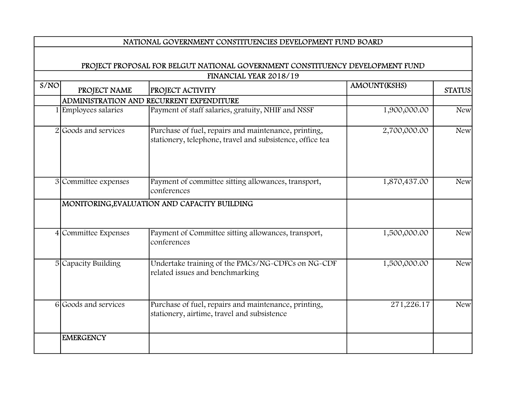## NATIONAL GOVERNMENT CONSTITUENCIES DEVELOPMENT FUND BOARD

## PROJECT PROPOSAL FOR BELGUT NATIONAL GOVERNMENT CONSTITUENCY DEVELOPMENT FUND FINANCIAL YEAR 2018/19

| S/NO |                      |                                                                                                                   | AMOUNT(KSHS) | <b>STATUS</b> |
|------|----------------------|-------------------------------------------------------------------------------------------------------------------|--------------|---------------|
|      | PROJECT NAME         | <b>PROJECT ACTIVITY</b>                                                                                           |              |               |
|      |                      | ADMINISTRATION AND RECURRENT EXPENDITURE                                                                          |              |               |
|      | Employees salaries   | Payment of staff salaries, gratuity, NHIF and NSSF                                                                | 1,900,000.00 | <b>New</b>    |
|      | 2 Goods and services | Purchase of fuel, repairs and maintenance, printing,<br>stationery, telephone, travel and subsistence, office tea | 2,700,000.00 | <b>New</b>    |
|      | 3 Committee expenses | Payment of committee sitting allowances, transport,<br>conferences                                                | 1,870,437.00 | New           |
|      |                      | MONITORING, EVALUATION AND CAPACITY BUILDING                                                                      |              |               |
|      | 4 Committee Expenses | Payment of Committee sitting allowances, transport,<br>conferences                                                | 1,500,000.00 | New           |
|      | 5 Capacity Building  | Undertake training of the PMCs/NG-CDFCs on NG-CDF<br>related issues and benchmarking                              | 1,500,000.00 | <b>New</b>    |
|      | 6 Goods and services | Purchase of fuel, repairs and maintenance, printing,<br>stationery, airtime, travel and subsistence               | 271,226.17   | <b>New</b>    |
|      | <b>EMERGENCY</b>     |                                                                                                                   |              |               |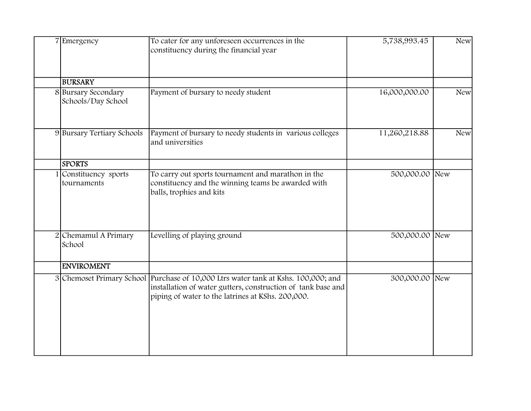| 7 Emergency                               | To cater for any unforeseen occurrences in the                                                                                                                                                          | 5,738,993.45   | New        |
|-------------------------------------------|---------------------------------------------------------------------------------------------------------------------------------------------------------------------------------------------------------|----------------|------------|
|                                           | constituency during the financial year                                                                                                                                                                  |                |            |
| <b>BURSARY</b>                            |                                                                                                                                                                                                         |                |            |
| 8 Bursary Secondary<br>Schools/Day School | Payment of bursary to needy student                                                                                                                                                                     | 16,000,000.00  | New        |
| 9 Bursary Tertiary Schools                | Payment of bursary to needy students in various colleges<br>and universities                                                                                                                            | 11,260,218.88  | <b>New</b> |
| <b>SPORTS</b>                             |                                                                                                                                                                                                         |                |            |
| 1 Constituency sports<br>tournaments      | To carry out sports tournament and marathon in the<br>constituency and the winning teams be awarded with<br>balls, trophies and kits                                                                    | 500,000.00 New |            |
| 2 Chemamul A Primary<br>School            | Levelling of playing ground                                                                                                                                                                             | 500,000.00 New |            |
| <b>ENVIROMENT</b>                         |                                                                                                                                                                                                         |                |            |
|                                           | 3 Chemoset Primary School Purchase of 10,000 Ltrs water tank at Kshs. 100,000; and<br>installation of water gutters, construction of tank base and<br>piping of water to the latrines at KShs. 200,000. | 300,000.00 New |            |
|                                           |                                                                                                                                                                                                         |                |            |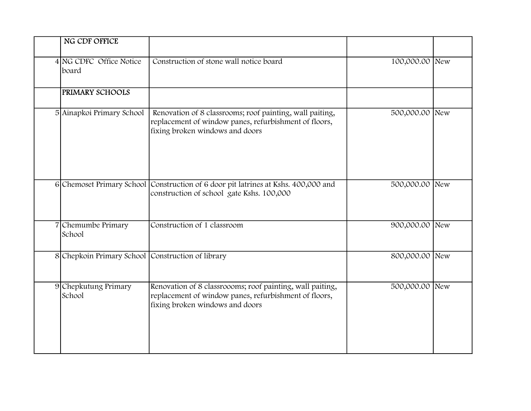| NG CDF OFFICE                                     |                                                                                                                                                       |                |  |
|---------------------------------------------------|-------------------------------------------------------------------------------------------------------------------------------------------------------|----------------|--|
| 4 NG CDFC Office Notice<br>board                  | Construction of stone wall notice board                                                                                                               | 100,000.00 New |  |
| PRIMARY SCHOOLS                                   |                                                                                                                                                       |                |  |
| 5 Ainapkoi Primary School                         | Renovation of 8 classrooms; roof painting, wall paiting,<br>replacement of window panes, refurbishment of floors,<br>fixing broken windows and doors  | 500,000.00 New |  |
|                                                   | 6 Chemoset Primary School Construction of 6 door pit latrines at Kshs. 400,000 and<br>construction of school gate Kshs. 100,000                       | 500,000.00 New |  |
| 7 Chemumbe Primary<br>School                      | Construction of 1 classroom                                                                                                                           | 900,000.00 New |  |
| 8 Chepkoin Primary School Construction of library |                                                                                                                                                       | 800,000.00 New |  |
| 9 Chepkutung Primary<br>School                    | Renovation of 8 classroooms; roof painting, wall paiting,<br>replacement of window panes, refurbishment of floors,<br>fixing broken windows and doors | 500,000.00 New |  |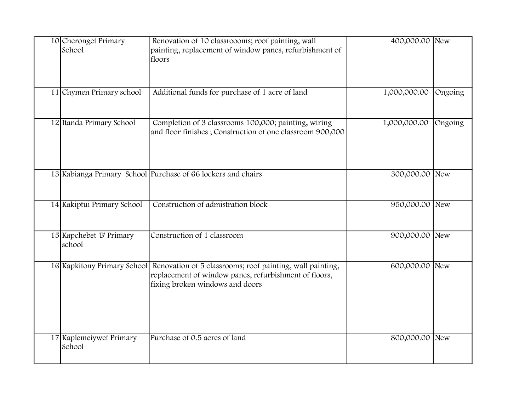| 10 Cheronget Primary<br>School     | Renovation of 10 classroooms; roof painting, wall<br>painting, replacement of window panes, refurbishment of<br>floors                                                            | 400,000.00 New |         |
|------------------------------------|-----------------------------------------------------------------------------------------------------------------------------------------------------------------------------------|----------------|---------|
| 11 Chymen Primary school           | Additional funds for purchase of 1 acre of land                                                                                                                                   | 1,000,000.00   | Ongoing |
| 12 Itanda Primary School           | Completion of 3 classrooms 100,000; painting, wiring<br>and floor finishes; Construction of one classroom 900,000                                                                 | 1,000,000.00   | Ongoing |
|                                    | 13 Kabianga Primary School Purchase of 66 lockers and chairs                                                                                                                      | 300,000.00 New |         |
| 14 Kakiptui Primary School         | Construction of admistration block                                                                                                                                                | 950,000.00 New |         |
| 15 Kapchebet 'B' Primary<br>school | Construction of 1 classroom                                                                                                                                                       | 900,000.00 New |         |
|                                    | 16 Kapkitony Primary School Renovation of 5 classrooms; roof painting, wall painting,<br>replacement of window panes, refurbishment of floors,<br>fixing broken windows and doors | 600,000.00 New |         |
| 17 Kaplemeiywet Primary<br>School  | Purchase of 0.5 acres of land                                                                                                                                                     | 800,000.00 New |         |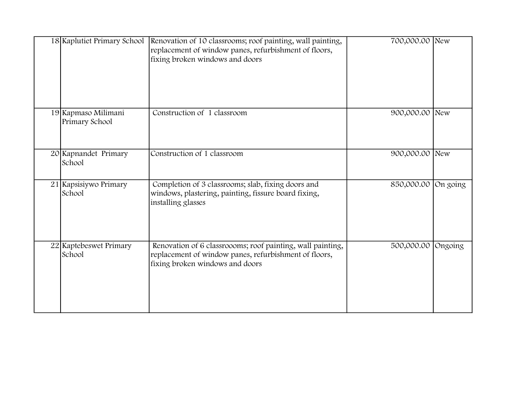| 18 Kaplutiet Primary School           | Renovation of 10 classrooms; roof painting, wall painting,<br>replacement of window panes, refurbishment of floors,<br>fixing broken windows and doors | 700,000.00 New      |  |
|---------------------------------------|--------------------------------------------------------------------------------------------------------------------------------------------------------|---------------------|--|
| 19 Kapmaso Milimani<br>Primary School | Construction of 1 classroom                                                                                                                            | 900,000.00 New      |  |
| 20 Kapnandet Primary<br>School        | Construction of 1 classroom                                                                                                                            | 900,000.00 New      |  |
| 21 Kapsisiywo Primary<br>School       | Completion of 3 classrooms; slab, fixing doors and<br>windows, plastering, painting, fissure board fixing,<br>installing glasses                       | 850,000.00 On going |  |
| 22 Kaptebeswet Primary<br>School      | Renovation of 6 classroooms; roof painting, wall painting,<br>replacement of window panes, refurbishment of floors,<br>fixing broken windows and doors | 500,000.00 Ongoing  |  |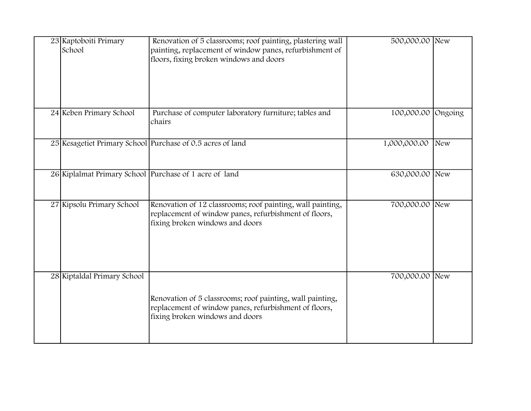| 23 Kaptoboiti Primary<br>School | Renovation of 5 classrooms; roof painting, plastering wall<br>painting, replacement of window panes, refurbishment of<br>floors, fixing broken windows and doors | 500,000.00 New     |     |
|---------------------------------|------------------------------------------------------------------------------------------------------------------------------------------------------------------|--------------------|-----|
| 24 Keben Primary School         | Purchase of computer laboratory furniture; tables and<br>chairs                                                                                                  | 100,000.00 Ongoing |     |
|                                 | 25 Kesagetiet Primary School Purchase of 0.5 acres of land                                                                                                       | 1,000,000.00       | New |
|                                 | 26 Kiplalmat Primary School Purchase of 1 acre of land                                                                                                           | 630,000.00 New     |     |
| 27 Kipsolu Primary School       | Renovation of 12 classrooms; roof painting, wall painting,<br>replacement of window panes, refurbishment of floors,<br>fixing broken windows and doors           | 700,000.00 New     |     |
| 28 Kiptaldal Primary School     | Renovation of 5 classrooms; roof painting, wall painting,<br>replacement of window panes, refurbishment of floors,<br>fixing broken windows and doors            | 700,000.00 New     |     |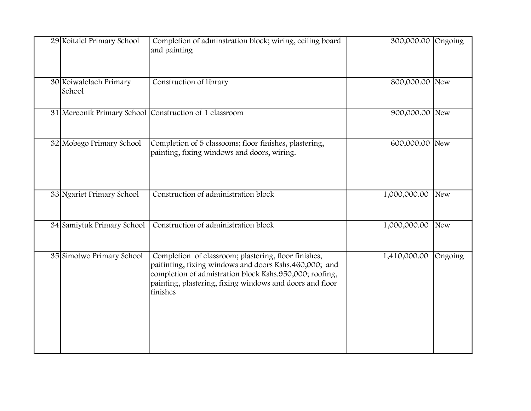| 29 Koitalel Primary School       | Completion of adminstration block; wiring, ceiling board<br>and painting                                                                                                                                                                          | 300,000.00 Ongoing |         |
|----------------------------------|---------------------------------------------------------------------------------------------------------------------------------------------------------------------------------------------------------------------------------------------------|--------------------|---------|
| 30 Koiwalelach Primary<br>School | Construction of library                                                                                                                                                                                                                           | 800,000.00 New     |         |
|                                  | 31 Mereonik Primary School Construction of 1 classroom                                                                                                                                                                                            | 900,000.00 New     |         |
| 32 Mobego Primary School         | Completion of 5 classooms; floor finishes, plastering,<br>painting, fixing windows and doors, wiring.                                                                                                                                             | 600,000.00 New     |         |
| 33 Ngariet Primary School        | Construction of administration block                                                                                                                                                                                                              | 1,000,000.00       | New     |
| 34 Samiytuk Primary School       | Construction of administration block                                                                                                                                                                                                              | 1,000,000.00       | New     |
| 35 Simotwo Primary School        | Completion of classroom; plastering, floor finishes,<br>paitinting, fixing windows and doors Kshs.460,000; and<br>completion of admistration block Kshs.950,000; roofing,<br>painting, plastering, fixing windows and doors and floor<br>finishes | 1,410,000.00       | Ongoing |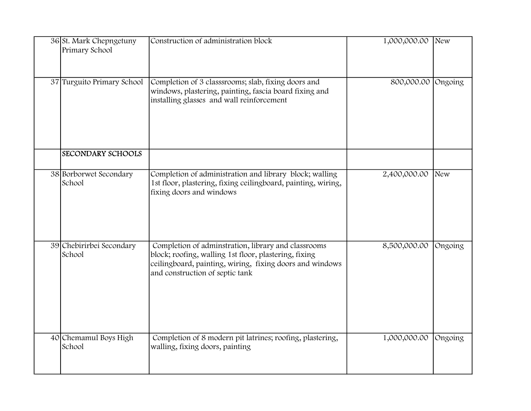| 36 St. Mark Chepngetuny<br>Primary School | Construction of administration block                                                                                                                                                                        | 1,000,000.00       | New     |
|-------------------------------------------|-------------------------------------------------------------------------------------------------------------------------------------------------------------------------------------------------------------|--------------------|---------|
| 37 Turguito Primary School                | Completion of 3 classsrooms; slab, fixing doors and<br>windows, plastering, painting, fascia board fixing and<br>installing glasses and wall reinforcement                                                  | 800,000.00 Ongoing |         |
| <b>SECONDARY SCHOOLS</b>                  |                                                                                                                                                                                                             |                    |         |
| 38 Borborwet Secondary<br>School          | Completion of administration and library block; walling<br>1st floor, plastering, fixing ceilingboard, painting, wiring,<br>fixing doors and windows                                                        | 2,400,000.00       | New     |
| 39 Chebirirbei Secondary<br>School        | Completion of adminstration, library and classrooms<br>block; roofing, walling 1st floor, plastering, fixing<br>ceilingboard, painting, wiring, fixing doors and windows<br>and construction of septic tank | 8,500,000.00       | Ongoing |
| 40 Chemamul Boys High<br>School           | Completion of 8 modern pit latrines; roofing, plastering,<br>walling, fixing doors, painting                                                                                                                | 1,000,000.00       | Ongoing |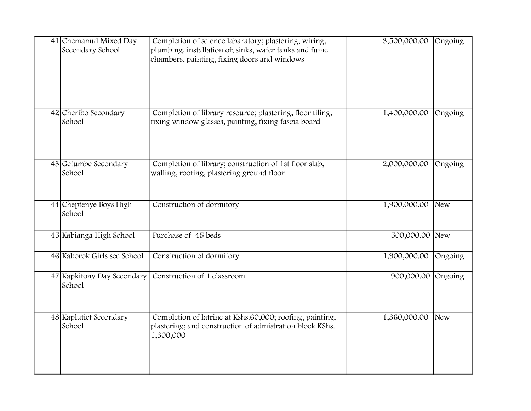| 41 Chemamul Mixed Day<br>Secondary School | Completion of science labaratory; plastering, wiring,<br>plumbing, installation of; sinks, water tanks and fume<br>chambers, painting, fixing doors and windows | 3,500,000.00   | Ongoing |
|-------------------------------------------|-----------------------------------------------------------------------------------------------------------------------------------------------------------------|----------------|---------|
| 42 Cheribo Secondary<br>School            | Completion of library resource; plastering, floor tiling,<br>fixing window glasses, painting, fixing fascia board                                               | 1,400,000.00   | Ongoing |
| 43 Getumbe Secondary<br>School            | Completion of library; construction of 1st floor slab,<br>walling, roofing, plastering ground floor                                                             | 2,000,000.00   | Ongoing |
| 44 Cheptenye Boys High<br>School          | Construction of dormitory                                                                                                                                       | 1,900,000.00   | New     |
| 45 Kabianga High School                   | Purchase of 45 beds                                                                                                                                             | 500,000.00 New |         |
| 46 Kaborok Girls sec School               | Construction of dormitory                                                                                                                                       | 1,900,000.00   | Ongoing |
| 47 Kapkitony Day Secondary<br>School      | Construction of 1 classroom                                                                                                                                     | 900,000.00     | Ongoing |
| 48 Kaplutiet Secondary<br>School          | Completion of latrine at Kshs.60,000; roofing, painting,<br>plastering; and construction of admistration block KShs.<br>1,300,000                               | 1,360,000.00   | New     |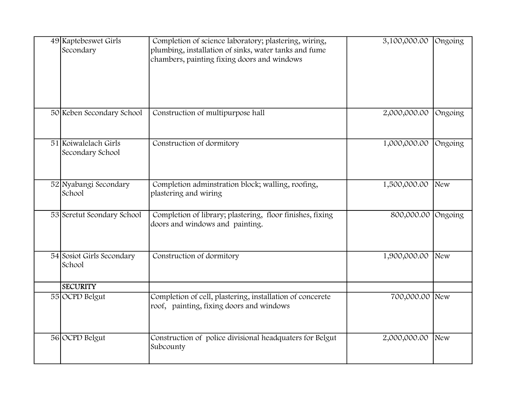| 49 Kaptebeswet Girls<br>Completion of science laboratory; plastering, wiring,<br>plumbing, installation of sinks, water tanks and fume<br>Secondary<br>chambers, painting fixing doors and windows |                                                                                                       | 3,100,000.00       | Ongoing    |
|----------------------------------------------------------------------------------------------------------------------------------------------------------------------------------------------------|-------------------------------------------------------------------------------------------------------|--------------------|------------|
| 50 Keben Secondary School                                                                                                                                                                          | Construction of multipurpose hall                                                                     | 2,000,000.00       | Ongoing    |
| 51 Koiwalelach Girls<br>Secondary School                                                                                                                                                           | Construction of dormitory                                                                             | 1,000,000.00       | Ongoing    |
| 52 Nyabangi Secondary<br>School                                                                                                                                                                    | Completion adminstration block; walling, roofing,<br>plastering and wiring                            | 1,500,000.00       | New        |
| 53 Seretut Seondary School                                                                                                                                                                         | Completion of library; plastering, floor finishes, fixing<br>doors and windows and painting.          | 800,000.00 Ongoing |            |
| 54 Sosiot Girls Secondary<br>School<br><b>SECURITY</b>                                                                                                                                             | Construction of dormitory                                                                             | 1,900,000.00       | <b>New</b> |
| 55 OCPD Belgut                                                                                                                                                                                     | Completion of cell, plastering, installation of concerete<br>roof, painting, fixing doors and windows | 700,000.00 New     |            |
| 56 OCPD Belgut                                                                                                                                                                                     | Construction of police divisional headquaters for Belgut<br>Subcounty                                 | 2,000,000.00       | New        |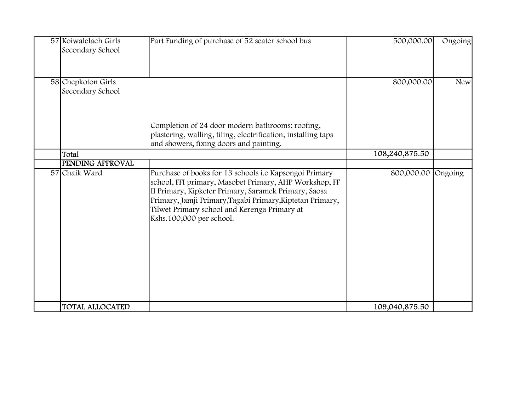| 57 Koiwalelach Girls<br>Secondary School | Part Funding of purchase of 52 seater school bus                                                                                                                                                                                                                                                                  | 500,000.00     | Ongoing    |
|------------------------------------------|-------------------------------------------------------------------------------------------------------------------------------------------------------------------------------------------------------------------------------------------------------------------------------------------------------------------|----------------|------------|
| 58 Chepkoton Girls<br>Secondary School   |                                                                                                                                                                                                                                                                                                                   | 800,000.00     | <b>New</b> |
|                                          | Completion of 24 door modern bathrooms; roofing,<br>plastering, walling, tiling, electrification, installing taps<br>and showers, fixing doors and painting.                                                                                                                                                      |                |            |
| Total                                    |                                                                                                                                                                                                                                                                                                                   | 108,240,875.50 |            |
| <b>PENDING APPROVAL</b>                  |                                                                                                                                                                                                                                                                                                                   |                |            |
| 57 Chaik Ward                            | Purchase of books for 13 schools i.e Kapsongoi Primary<br>school, FFI primary, Masobet Primary, AHP Workshop, FF<br>II Primary, Kipketer Primary, Saramek Primary, Saosa<br>Primary, Jamji Primary, Tagabi Primary, Kiptetan Primary,<br>Tilwet Primary school and Kerenga Primary at<br>Kshs.100,000 per school. | 800,000.00     | Ongoing    |
| <b>TOTAL ALLOCATED</b>                   |                                                                                                                                                                                                                                                                                                                   | 109,040,875.50 |            |